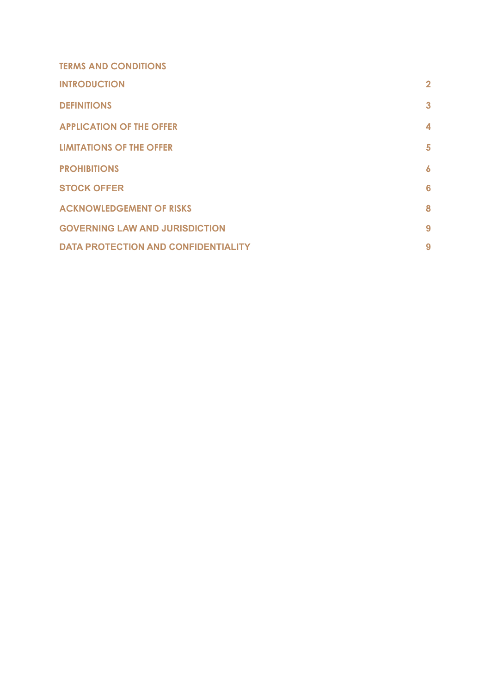| <b>TERMS AND CONDITIONS</b>                |                  |
|--------------------------------------------|------------------|
| <b>INTRODUCTION</b>                        | $\overline{2}$   |
| <b>DEFINITIONS</b>                         | $\mathbf{3}$     |
| <b>APPLICATION OF THE OFFER</b>            | 4                |
| <b>LIMITATIONS OF THE OFFER</b>            | 5                |
| <b>PROHIBITIONS</b>                        | $\boldsymbol{6}$ |
| <b>STOCK OFFER</b>                         | 6                |
| <b>ACKNOWLEDGEMENT OF RISKS</b>            | 8                |
| <b>GOVERNING LAW AND JURISDICTION</b>      | 9                |
| <b>DATA PROTECTION AND CONFIDENTIALITY</b> | 9                |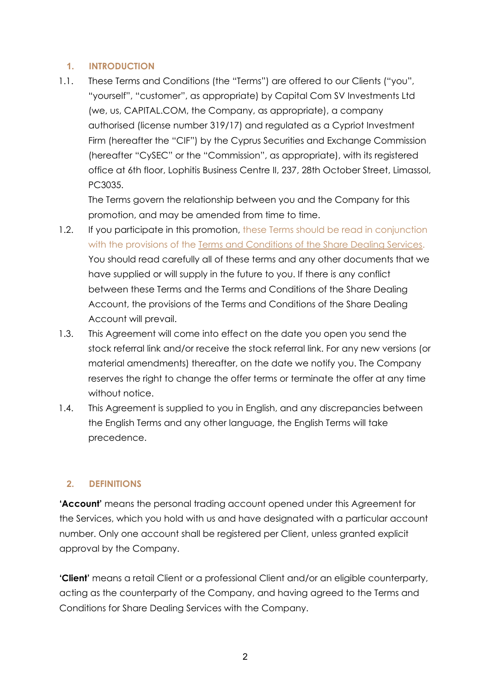## <span id="page-1-0"></span>**1. INTRODUCTION**

1.1. These Terms and Conditions (the "Terms") are offered to our Clients ("you", "yourself", "customer", as appropriate) by Capital Com SV Investments Ltd (we, us, CAPITAL.COM, the Company, as appropriate), a company authorised (license number 319/17) and regulated as a Cypriot Investment Firm (hereafter the "CIF") by the Cyprus Securities and Exchange Commission (hereafter "CySEC" or the "Commission", as appropriate), with its registered office at 6th floor, Lophitis Business Centre II, 237, 28th October Street, Limassol, PC3035.

The Terms govern the relationship between you and the Company for this promotion, and may be amended from time to time.

- 1.2. If you participate in this promotion, these Terms should be read in conjunction with the provisions of the Terms and [Conditions](https://trade.capital.com/docs/terms_and_conditions_share_v3_cysec_capital_com.pdf) of the Share Dealing Services. You should read carefully all of these terms and any other documents that we have supplied or will supply in the future to you. If there is any conflict between these Terms and the Terms and Conditions of the Share Dealing Account, the provisions of the Terms and Conditions of the Share Dealing Account will prevail.
- 1.3. This Agreement will come into effect on the date you open you send the stock referral link and/or receive the stock referral link. For any new versions (or material amendments) thereafter, on the date we notify you. The Company reserves the right to change the offer terms or terminate the offer at any time without notice.
- 1.4. This Agreement is supplied to you in English, and any discrepancies between the English Terms and any other language, the English Terms will take precedence.

### <span id="page-1-1"></span>**2. DEFINITIONS**

**'Account'** means the personal trading account opened under this Agreement for the Services, which you hold with us and have designated with a particular account number. Only one account shall be registered per Client, unless granted explicit approval by the Company.

**'Client'** means a retail Client or a professional Client and/or an eligible counterparty, acting as the counterparty of the Company, and having agreed to the Terms and Conditions for Share Dealing Services with the Company.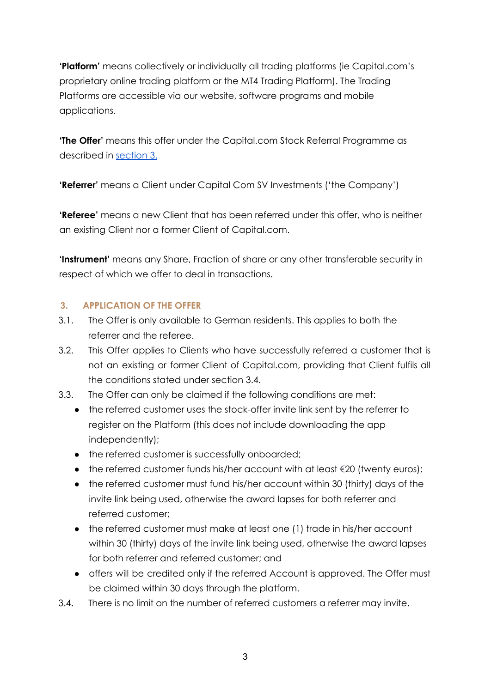**'Platform'** means collectively or individually all trading platforms (ie Capital.com's proprietary online trading platform or the MT4 Trading Platform). The Trading Platforms are accessible via our website, software programs and mobile applications.

**'The Offer'** means this offer under the Capital.com Stock Referral Programme as described in [section](#page-2-0) 3.

**'Referrer'** means a Client under Capital Com SV Investments ('the Company')

**'Referee'** means a new Client that has been referred under this offer, who is neither an existing Client nor a former Client of Capital.com.

**'Instrument'** means any Share, Fraction of share or any other transferable security in respect of which we offer to deal in transactions.

# <span id="page-2-0"></span>**3. APPLICATION OF THE OFFER**

- 3.1. The Offer is only available to German residents. This applies to both the referrer and the referee.
- 3.2. This Offer applies to Clients who have successfully referred a customer that is not an existing or former Client of Capital.com, providing that Client fulfils all the conditions stated under section 3.4.
- 3.3. The Offer can only be claimed if the following conditions are met:
	- the referred customer uses the stock-offer invite link sent by the referrer to register on the Platform (this does not include downloading the app independently);
	- the referred customer is successfully onboarded;
	- $\bullet$  the referred customer funds his/her account with at least  $\epsilon$ 20 (twenty euros);
	- the referred customer must fund his/her account within 30 (thirty) days of the invite link being used, otherwise the award lapses for both referrer and referred customer;
	- the referred customer must make at least one (1) trade in his/her account within 30 (thirty) days of the invite link being used, otherwise the award lapses for both referrer and referred customer; and
	- offers will be credited only if the referred Account is approved. The Offer must be claimed within 30 days through the platform.
- 3.4. There is no limit on the number of referred customers a referrer may invite.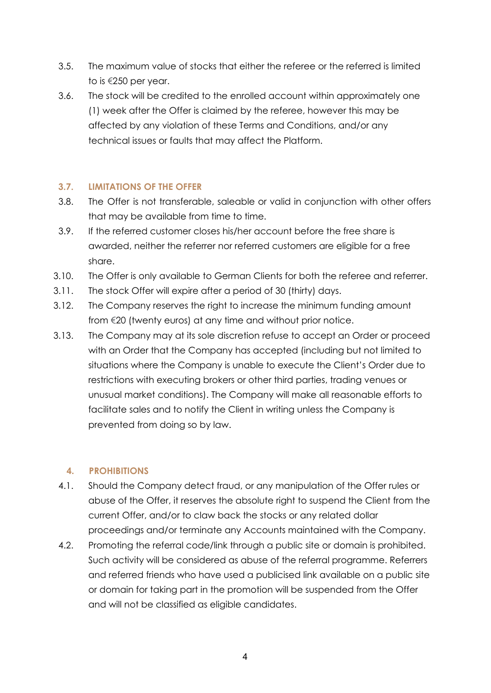- 3.5. The maximum value of stocks that either the referee or the referred is limited to is €250 per year.
- 3.6. The stock will be credited to the enrolled account within approximately one (1) week after the Offer is claimed by the referee, however this may be affected by any violation of these Terms and Conditions, and/or any technical issues or faults that may affect the Platform.

## <span id="page-3-0"></span>**3.7. LIMITATIONS OF THE OFFER**

- 3.8. The Offer is not transferable, saleable or valid in conjunction with other offers that may be available from time to time.
- 3.9. If the referred customer closes his/her account before the free share is awarded, neither the referrer nor referred customers are eligible for a free share.
- 3.10. The Offer is only available to German Clients for both the referee and referrer.
- 3.11. The stock Offer will expire after a period of 30 (thirty) days.
- 3.12. The Company reserves the right to increase the minimum funding amount from €20 (twenty euros) at any time and without prior notice.
- 3.13. The Company may at its sole discretion refuse to accept an Order or proceed with an Order that the Company has accepted (including but not limited to situations where the Company is unable to execute the Client's Order due to restrictions with executing brokers or other third parties, trading venues or unusual market conditions). The Company will make all reasonable efforts to facilitate sales and to notify the Client in writing unless the Company is prevented from doing so by law.

### <span id="page-3-1"></span>**4. PROHIBITIONS**

- 4.1. Should the Company detect fraud, or any manipulation of the Offer rules or abuse of the Offer, it reserves the absolute right to suspend the Client from the current Offer, and/or to claw back the stocks or any related dollar proceedings and/or terminate any Accounts maintained with the Company.
- 4.2. Promoting the referral code/link through a public site or domain is prohibited. Such activity will be considered as abuse of the referral programme. Referrers and referred friends who have used a publicised link available on a public site or domain for taking part in the promotion will be suspended from the Offer and will not be classified as eligible candidates.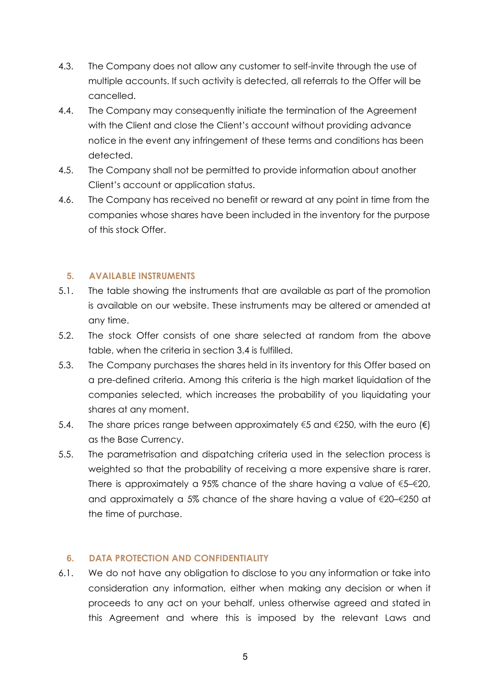- 4.3. The Company does not allow any customer to self-invite through the use of multiple accounts. If such activity is detected, all referrals to the Offer will be cancelled.
- 4.4. The Company may consequently initiate the termination of the Agreement with the Client and close the Client's account without providing advance notice in the event any infringement of these terms and conditions has been detected.
- 4.5. The Company shall not be permitted to provide information about another Client's account or application status.
- 4.6. The Company has received no benefit or reward at any point in time from the companies whose shares have been included in the inventory for the purpose of this stock Offer.

### <span id="page-4-0"></span>**5. AVAILABLE INSTRUMENTS**

- 5.1. The table showing the instruments that are available as part of the promotion is available on our website. These instruments may be altered or amended at any time.
- 5.2. The stock Offer consists of one share selected at random from the above table, when the criteria in section 3.4 is fulfilled.
- 5.3. The Company purchases the shares held in its inventory for this Offer based on a pre-defined criteria. Among this criteria is the high market liquidation of the companies selected, which increases the probability of you liquidating your shares at any moment.
- 5.4. The share prices range between approximately €5 and €250, with the euro (€) as the Base Currency.
- 5.5. The parametrisation and dispatching criteria used in the selection process is weighted so that the probability of receiving a more expensive share is rarer. There is approximately a 95% chance of the share having a value of  $\xi$ 5– $\xi$ 20, and approximately a 5% chance of the share having a value of  $\epsilon$ 20– $\epsilon$ 250 at the time of purchase.

# <span id="page-4-1"></span>**6. DATA PROTECTION AND CONFIDENTIALITY**

6.1. We do not have any obligation to disclose to you any information or take into consideration any information, either when making any decision or when it proceeds to any act on your behalf, unless otherwise agreed and stated in this Agreement and where this is imposed by the relevant Laws and